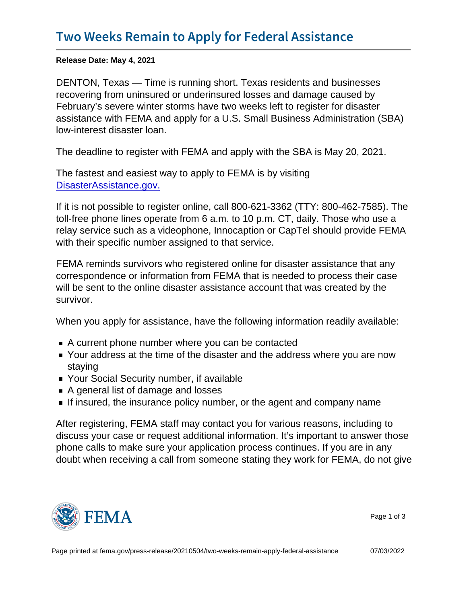Release Date: May 4, 2021

DENTON, Texas — Time is running short. Texas residents and businesses recovering from uninsured or underinsured losses and damage caused by February's severe winter storms have two weeks left to register for disaster assistance with FEMA and apply for a U.S. Small Business Administration (SBA) low-interest disaster loan.

The deadline to register with FEMA and apply with the SBA is May 20, 2021.

The fastest and easiest way to apply to FEMA is by visiting [DisasterAssistance.gov.](http://www.DisasterAssistance.gov.)

If it is not possible to register online, call 800-621-3362 (TTY: 800-462-7585). The toll-free phone lines operate from 6 a.m. to 10 p.m. CT, daily. Those who use a relay service such as a videophone, Innocaption or CapTel should provide FEMA with their specific number assigned to that service.

FEMA reminds survivors who registered online for disaster assistance that any correspondence or information from FEMA that is needed to process their case will be sent to the online disaster assistance account that was created by the survivor.

When you apply for assistance, have the following information readily available:

- A current phone number where you can be contacted
- Your address at the time of the disaster and the address where you are now staying
- **Your Social Security number, if available**
- A general list of damage and losses
- If insured, the insurance policy number, or the agent and company name

After registering, FEMA staff may contact you for various reasons, including to discuss your case or request additional information. It's important to answer those phone calls to make sure your application process continues. If you are in any doubt when receiving a call from someone stating they work for FEMA, do not give



Page 1 of 3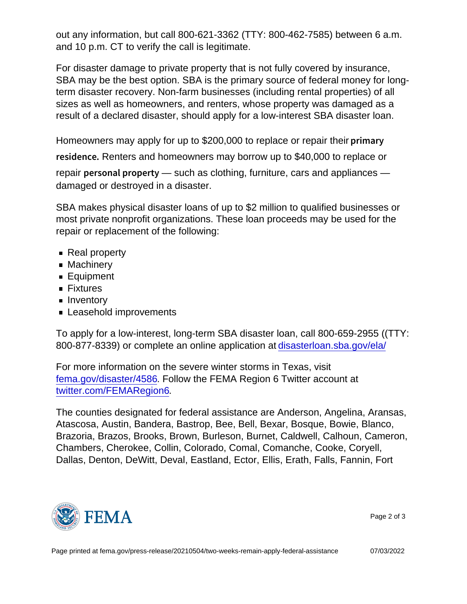out any information, but call 800-621-3362 (TTY: 800-462-7585) between 6 a.m. and 10 p.m. CT to verify the call is legitimate.

For disaster damage to private property that is not fully covered by insurance, SBA may be the best option. SBA is the primary source of federal money for longterm disaster recovery. Non-farm businesses (including rental properties) of all sizes as well as homeowners, and renters, whose property was damaged as a result of a declared disaster, should apply for a low-interest SBA disaster loan.

Homeowners may apply for up to \$200,000 to replace or repair their p r i m a r y

res ide. Renders and homeowners may borrow up to \$40,000 to replace or repair  $p \in S$  on all  $p \mapsto \mathsf{switch}$  clothing, furniture, cars and appliances damaged or destroyed in a disaster.

SBA makes physical disaster loans of up to \$2 million to qualified businesses or most private nonprofit organizations. These loan proceeds may be used for the repair or replacement of the following:

- Real property
- **Machinery**
- **Equipment**
- **Fixtures**
- Inventory
- **Leasehold improvements**

To apply for a low-interest, long-term SBA disaster loan, call 800-659-2955 ((TTY: 800-877-8339) or complete an online application at [disasterloan.sba.gov/ela/](https://disasterloanassistance.sba.gov/ela/s/)

For more information on the severe winter storms in Texas, visit [fema.gov/disaster/4586](https://www.fema.gov/disaster/4586). Follow the FEMA Region 6 Twitter account at [twitter.com/FEMARegion6.](https://twitter.com/FEMARegion6)

The counties designated for federal assistance are Anderson, Angelina, Aransas, Atascosa, Austin, Bandera, Bastrop, Bee, Bell, Bexar, Bosque, Bowie, Blanco, Brazoria, Brazos, Brooks, Brown, Burleson, Burnet, Caldwell, Calhoun, Cameron, Chambers, Cherokee, Collin, Colorado, Comal, Comanche, Cooke, Coryell, Dallas, Denton, DeWitt, Deval, Eastland, Ector, Ellis, Erath, Falls, Fannin, Fort



Page 2 of 3